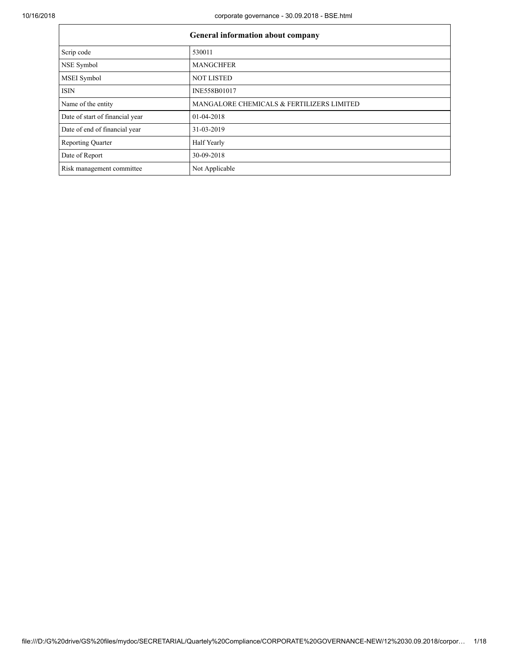| <b>General information about company</b> |                                           |  |  |  |
|------------------------------------------|-------------------------------------------|--|--|--|
| Scrip code                               | 530011                                    |  |  |  |
| NSE Symbol                               | <b>MANGCHFER</b>                          |  |  |  |
| <b>MSEI</b> Symbol                       | <b>NOT LISTED</b>                         |  |  |  |
| <b>ISIN</b>                              | INE558B01017                              |  |  |  |
| Name of the entity                       | MANGALORE CHEMICALS & FERTILIZERS LIMITED |  |  |  |
| Date of start of financial year          | $01-04-2018$                              |  |  |  |
| Date of end of financial year            | 31-03-2019                                |  |  |  |
| <b>Reporting Quarter</b>                 | Half Yearly                               |  |  |  |
| Date of Report                           | 30-09-2018                                |  |  |  |
| Risk management committee                | Not Applicable                            |  |  |  |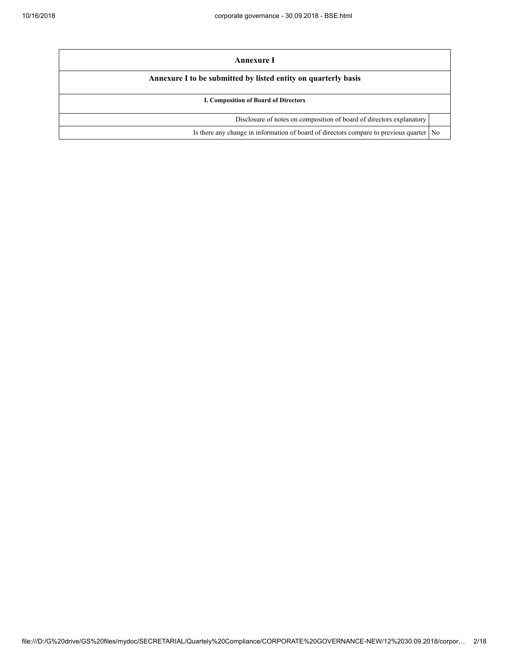| Annexure I                                                                           |                |
|--------------------------------------------------------------------------------------|----------------|
| Annexure I to be submitted by listed entity on quarterly basis                       |                |
| <b>I. Composition of Board of Directors</b>                                          |                |
| Disclosure of notes on composition of board of directors explanatory                 |                |
| Is there any change in information of board of directors compare to previous quarter | N <sub>0</sub> |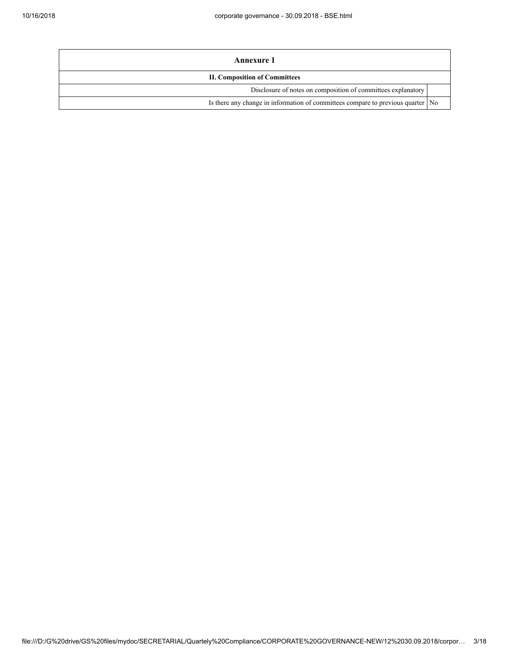| Annexure 1                                                                        |  |  |
|-----------------------------------------------------------------------------------|--|--|
| <b>II. Composition of Committees</b>                                              |  |  |
| Disclosure of notes on composition of committees explanatory                      |  |  |
| Is there any change in information of committees compare to previous quarter   No |  |  |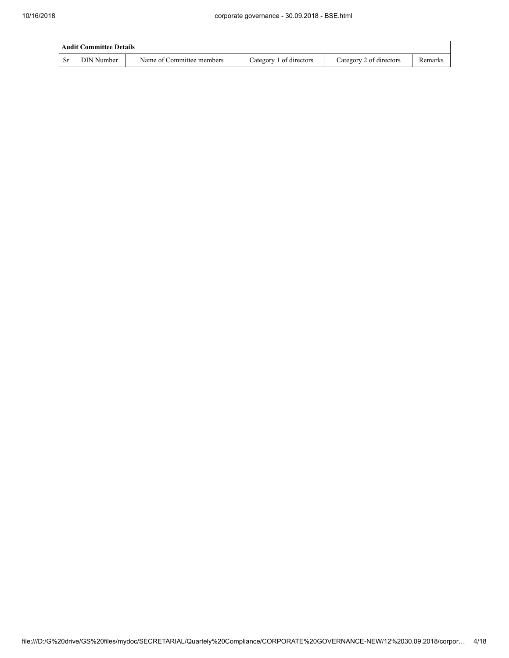|           | <b>Audit Committee Details</b> |                           |                         |                         |         |  |  |
|-----------|--------------------------------|---------------------------|-------------------------|-------------------------|---------|--|--|
| <b>Sr</b> | DIN Number                     | Name of Committee members | Category 1 of directors | Category 2 of directors | Remarks |  |  |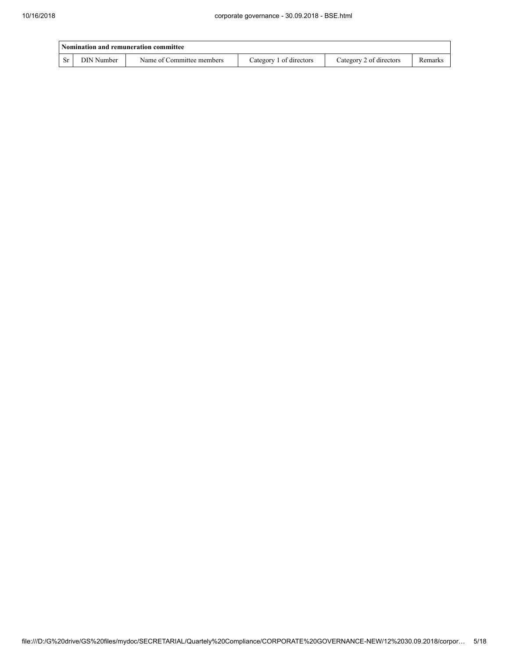|           | Nomination and remuneration committee |                           |                         |                         |         |  |  |
|-----------|---------------------------------------|---------------------------|-------------------------|-------------------------|---------|--|--|
| <b>Sr</b> | DIN Number                            | Name of Committee members | Category 1 of directors | Category 2 of directors | Remarks |  |  |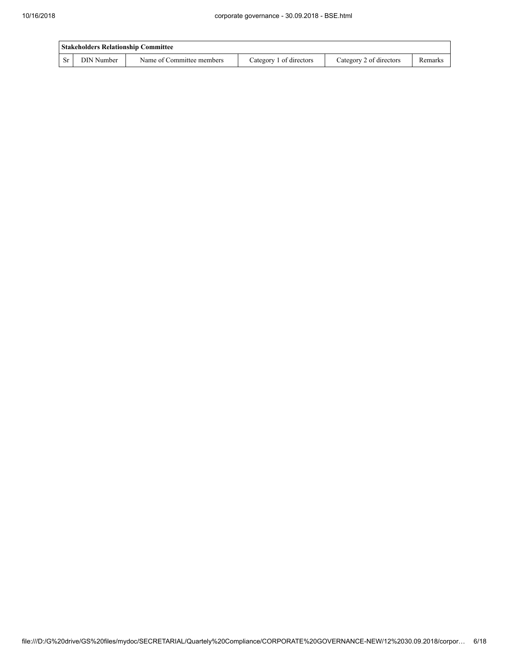|     | <b>Stakeholders Relationship Committee</b> |                           |                         |                         |         |  |  |
|-----|--------------------------------------------|---------------------------|-------------------------|-------------------------|---------|--|--|
| -Sr | DIN Number                                 | Name of Committee members | Category 1 of directors | Category 2 of directors | Remarks |  |  |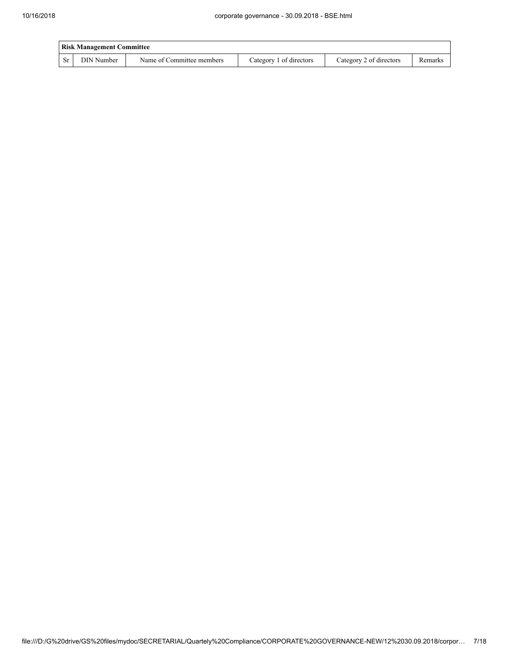| <b>Risk Management Committee</b> |            |                           |                         |                         |         |  |
|----------------------------------|------------|---------------------------|-------------------------|-------------------------|---------|--|
| - Sr                             | DIN Number | Name of Committee members | Category 1 of directors | Category 2 of directors | Remarks |  |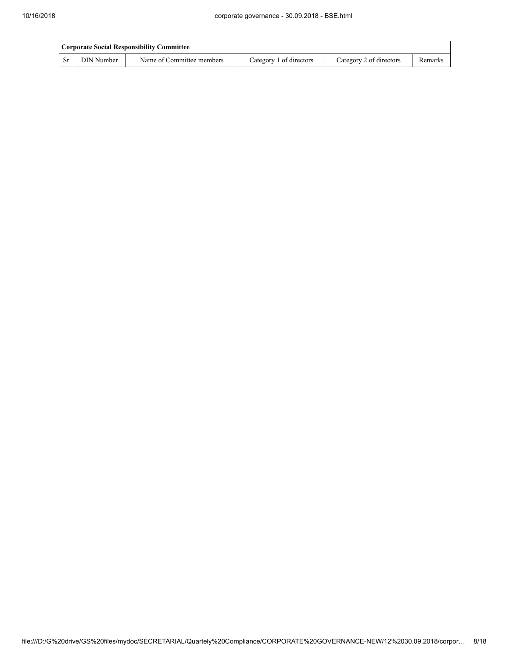|     | Corporate Social Responsibility Committee |                           |                         |                         |         |  |
|-----|-------------------------------------------|---------------------------|-------------------------|-------------------------|---------|--|
| -Sr | DIN Number                                | Name of Committee members | Category 1 of directors | Category 2 of directors | Remarks |  |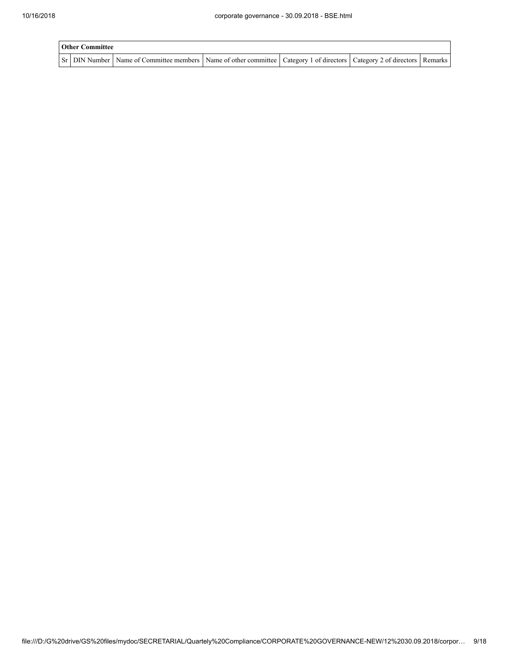| <b>Other Committee</b> |                                                                                                                                     |  |  |  |  |  |
|------------------------|-------------------------------------------------------------------------------------------------------------------------------------|--|--|--|--|--|
|                        | Sr   DIN Number   Name of Committee members   Name of other committee   Category 1 of directors   Category 2 of directors   Remarks |  |  |  |  |  |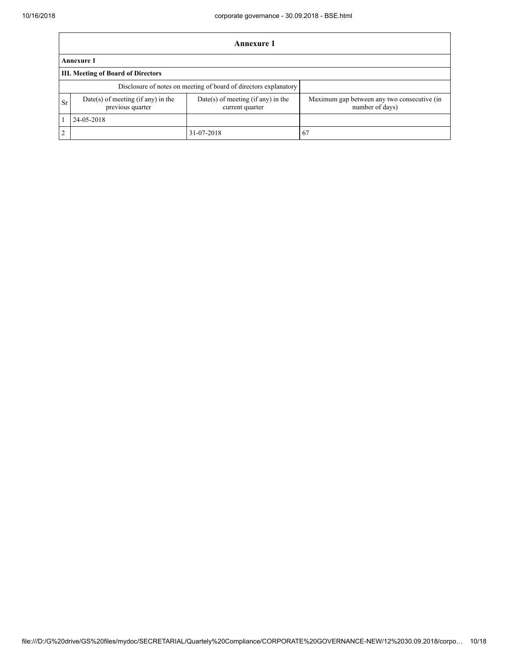|                | Annexure 1                                             |                                                                  |                                                                |  |  |  |  |
|----------------|--------------------------------------------------------|------------------------------------------------------------------|----------------------------------------------------------------|--|--|--|--|
|                | <b>Annexure 1</b>                                      |                                                                  |                                                                |  |  |  |  |
|                | <b>III. Meeting of Board of Directors</b>              |                                                                  |                                                                |  |  |  |  |
|                |                                                        | Disclosure of notes on meeting of board of directors explanatory |                                                                |  |  |  |  |
| <b>Sr</b>      | Date(s) of meeting (if any) in the<br>previous quarter | Date(s) of meeting (if any) in the<br>current quarter            | Maximum gap between any two consecutive (in<br>number of days) |  |  |  |  |
|                | 24-05-2018                                             |                                                                  |                                                                |  |  |  |  |
| $\overline{2}$ |                                                        | 31-07-2018                                                       | - 67                                                           |  |  |  |  |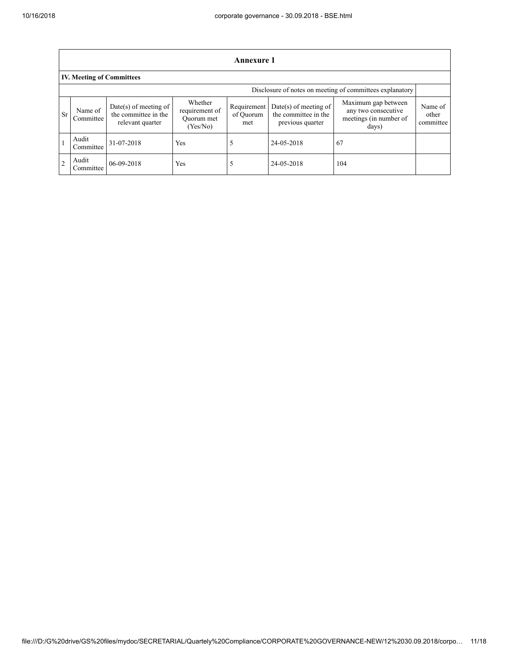|                | Annexure 1                                               |                                                                   |                                                     |                                 |                                                                     |                                                                               |                               |  |  |
|----------------|----------------------------------------------------------|-------------------------------------------------------------------|-----------------------------------------------------|---------------------------------|---------------------------------------------------------------------|-------------------------------------------------------------------------------|-------------------------------|--|--|
|                | <b>IV. Meeting of Committees</b>                         |                                                                   |                                                     |                                 |                                                                     |                                                                               |                               |  |  |
|                | Disclosure of notes on meeting of committees explanatory |                                                                   |                                                     |                                 |                                                                     |                                                                               |                               |  |  |
| <b>Sr</b>      | Name of<br>Committee                                     | Date(s) of meeting of<br>the committee in the<br>relevant quarter | Whether<br>requirement of<br>Ouorum met<br>(Yes/No) | Requirement<br>of Ouorum<br>met | $Date(s)$ of meeting of<br>the committee in the<br>previous quarter | Maximum gap between<br>any two consecutive<br>meetings (in number of<br>days) | Name of<br>other<br>committee |  |  |
|                | Audit<br>Committee                                       | 31-07-2018                                                        | Yes                                                 |                                 | 24-05-2018                                                          | 67                                                                            |                               |  |  |
| $\overline{2}$ | Audit<br>Committee                                       | 06-09-2018                                                        | Yes                                                 |                                 | 24-05-2018                                                          | 104                                                                           |                               |  |  |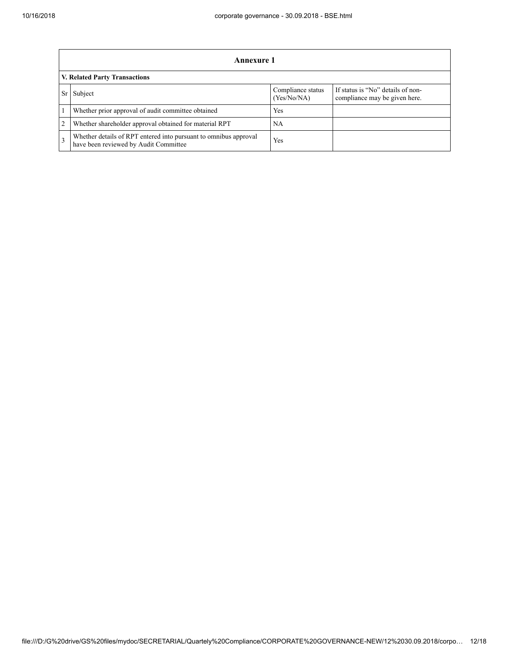|                | Annexure 1                                                                                                |                                  |                                                                    |  |  |  |
|----------------|-----------------------------------------------------------------------------------------------------------|----------------------------------|--------------------------------------------------------------------|--|--|--|
|                | V. Related Party Transactions                                                                             |                                  |                                                                    |  |  |  |
|                | Subject                                                                                                   | Compliance status<br>(Yes/No/NA) | If status is "No" details of non-<br>compliance may be given here. |  |  |  |
|                | Whether prior approval of audit committee obtained                                                        | Yes                              |                                                                    |  |  |  |
| $\overline{2}$ | Whether shareholder approval obtained for material RPT                                                    | NA                               |                                                                    |  |  |  |
|                | Whether details of RPT entered into pursuant to omnibus approval<br>have been reviewed by Audit Committee | Yes                              |                                                                    |  |  |  |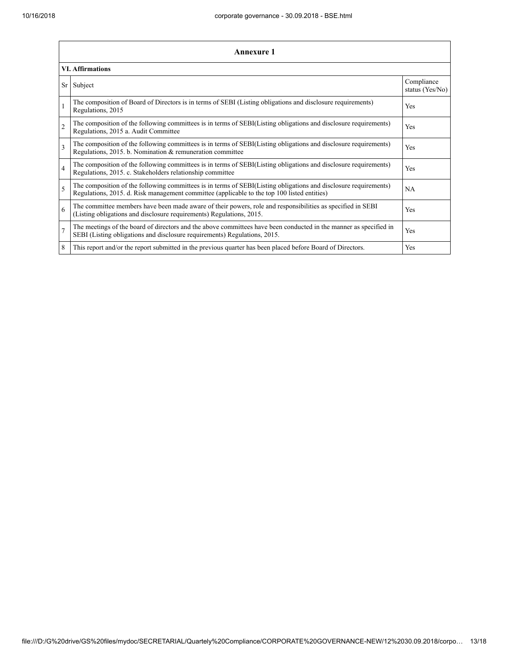| <b>Annexure 1</b> |                                                                                                                                                                                                                 |                               |  |  |  |
|-------------------|-----------------------------------------------------------------------------------------------------------------------------------------------------------------------------------------------------------------|-------------------------------|--|--|--|
|                   | <b>VI. Affirmations</b>                                                                                                                                                                                         |                               |  |  |  |
| Sr                | Subject                                                                                                                                                                                                         | Compliance<br>status (Yes/No) |  |  |  |
| $\mathbf{1}$      | The composition of Board of Directors is in terms of SEBI (Listing obligations and disclosure requirements)<br>Regulations, 2015                                                                                | Yes                           |  |  |  |
| $\overline{2}$    | The composition of the following committees is in terms of SEBI(Listing obligations and disclosure requirements)<br>Regulations, 2015 a. Audit Committee                                                        | <b>Yes</b>                    |  |  |  |
| 3                 | The composition of the following committees is in terms of SEBI(Listing obligations and disclosure requirements)<br>Regulations, 2015. b. Nomination & remuneration committee                                   | Yes                           |  |  |  |
| $\overline{4}$    | The composition of the following committees is in terms of SEBI(Listing obligations and disclosure requirements)<br>Regulations, 2015. c. Stakeholders relationship committee                                   | Yes                           |  |  |  |
| 5                 | The composition of the following committees is in terms of SEBI(Listing obligations and disclosure requirements)<br>Regulations, 2015. d. Risk management committee (applicable to the top 100 listed entities) | <b>NA</b>                     |  |  |  |
| 6                 | The committee members have been made aware of their powers, role and responsibilities as specified in SEBI<br>(Listing obligations and disclosure requirements) Regulations, 2015.                              | <b>Yes</b>                    |  |  |  |
| $\overline{7}$    | The meetings of the board of directors and the above committees have been conducted in the manner as specified in<br>SEBI (Listing obligations and disclosure requirements) Regulations, 2015.                  | Yes                           |  |  |  |
| 8                 | This report and/or the report submitted in the previous quarter has been placed before Board of Directors.                                                                                                      | Yes                           |  |  |  |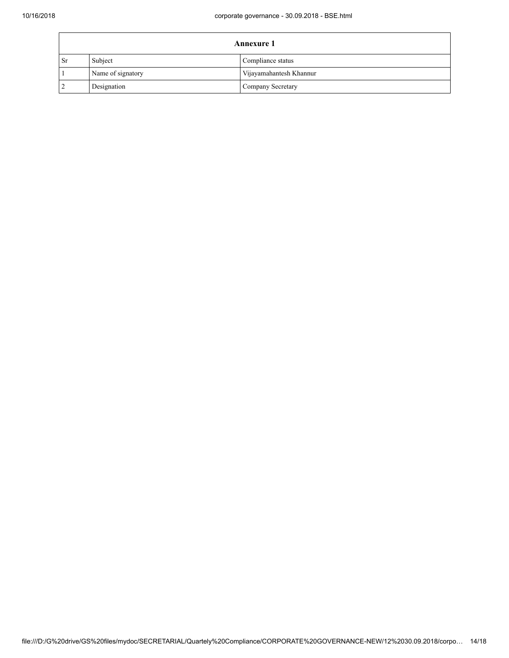| <b>Annexure 1</b> |                   |                         |  |
|-------------------|-------------------|-------------------------|--|
| <b>Sr</b>         | Subject           | Compliance status       |  |
|                   | Name of signatory | Vijayamahantesh Khannur |  |
|                   | Designation       | Company Secretary       |  |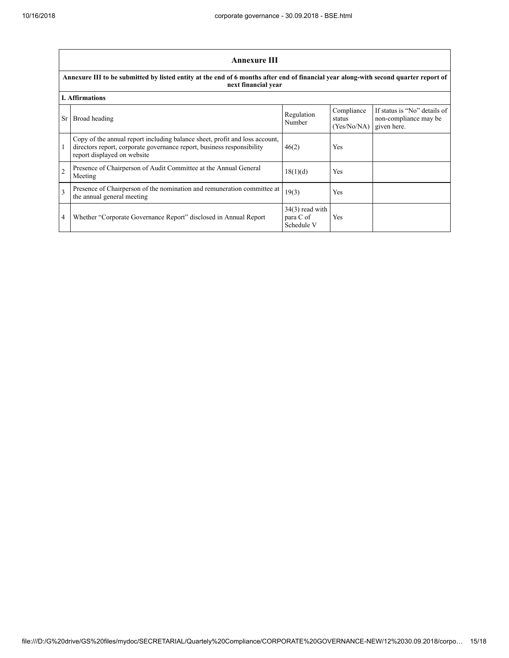|                | <b>Annexure III</b>                                                                                                                                                                  |                                              |                                     |                                                                      |  |  |  |
|----------------|--------------------------------------------------------------------------------------------------------------------------------------------------------------------------------------|----------------------------------------------|-------------------------------------|----------------------------------------------------------------------|--|--|--|
|                | Annexure III to be submitted by listed entity at the end of 6 months after end of financial year along-with second quarter report of<br>next financial year                          |                                              |                                     |                                                                      |  |  |  |
|                | <b>I. Affirmations</b>                                                                                                                                                               |                                              |                                     |                                                                      |  |  |  |
| Sr.            | Broad heading                                                                                                                                                                        | Regulation<br>Number                         | Compliance<br>status<br>(Yes/No/NA) | If status is "No" details of<br>non-compliance may be<br>given here. |  |  |  |
|                | Copy of the annual report including balance sheet, profit and loss account,<br>directors report, corporate governance report, business responsibility<br>report displayed on website | 46(2)                                        | Yes                                 |                                                                      |  |  |  |
| $\overline{2}$ | Presence of Chairperson of Audit Committee at the Annual General<br>Meeting                                                                                                          | 18(1)(d)                                     | Yes                                 |                                                                      |  |  |  |
| 3              | Presence of Chairperson of the nomination and remuneration committee at<br>the annual general meeting                                                                                | 19(3)                                        | Yes                                 |                                                                      |  |  |  |
| 4              | Whether "Corporate Governance Report" disclosed in Annual Report                                                                                                                     | $34(3)$ read with<br>para C of<br>Schedule V | Yes                                 |                                                                      |  |  |  |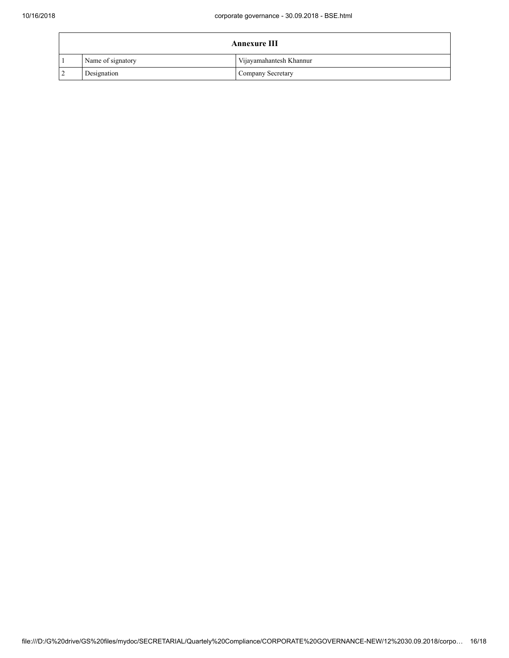| <b>Annexure III</b> |                   |                         |
|---------------------|-------------------|-------------------------|
|                     | Name of signatory | Vijayamahantesh Khannur |
| $\overline{2}$      | Designation       | Company Secretary       |